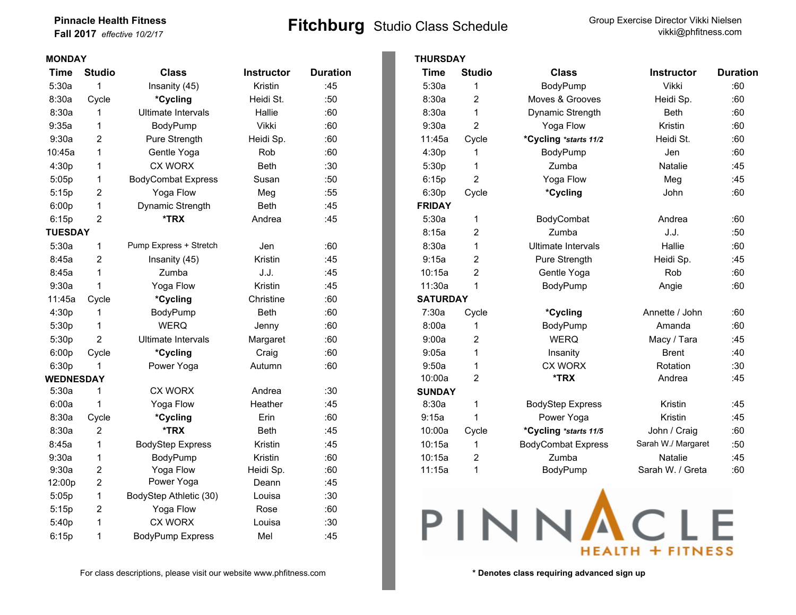## **Pinnacle Health Fitness**

| <b>Pinnacle Health Fitness</b> | <b>Fitchburg</b> Studio Class Schedule | Group Exercise Director Vikki Nielsen |
|--------------------------------|----------------------------------------|---------------------------------------|
| Fall 2017 effective 10/2/17    |                                        | vikki@phfitness.com                   |
|                                |                                        |                                       |

| <b>MONDAY</b>    |                |                           |                   |                 | <b>THURSDAY</b> |   |
|------------------|----------------|---------------------------|-------------------|-----------------|-----------------|---|
| <b>Time</b>      | <b>Studio</b>  | <b>Class</b>              | <b>Instructor</b> | <b>Duration</b> | <b>Time</b>     | S |
| 5:30a            | 1              | Insanity (45)             | Kristin           | :45             | 5:30a           |   |
| 8:30a            | Cycle          | *Cycling                  | Heidi St.         | :50             | 8:30a           |   |
| 8:30a            | 1              | Ultimate Intervals        | Hallie            | :60             | 8:30a           |   |
| 9:35a            | 1              | BodyPump                  | Vikki             | :60             | 9:30a           |   |
| 9:30a            | $\overline{2}$ | Pure Strength             | Heidi Sp.         | :60             | 11:45a          | C |
| 10:45a           | 1              | Gentle Yoga               | Rob               | :60             | 4:30p           |   |
| 4:30p            | 1              | <b>CX WORX</b>            | <b>Beth</b>       | :30             | 5:30p           |   |
| 5:05p            | 1              | <b>BodyCombat Express</b> | Susan             | :50             | 6:15p           |   |
| 5:15p            | $\overline{c}$ | Yoga Flow                 | Meg               | :55             | 6:30p           | C |
| 6:00p            | 1              | Dynamic Strength          | <b>Beth</b>       | :45             | <b>FRIDAY</b>   |   |
| 6:15p            | $\overline{2}$ | *TRX                      | Andrea            | :45             | 5:30a           |   |
| <b>TUESDAY</b>   |                |                           |                   |                 | 8:15a           |   |
| 5:30a            | 1              | Pump Express + Stretch    | Jen               | :60             | 8:30a           |   |
| 8:45a            | $\overline{2}$ | Insanity (45)             | Kristin           | :45             | 9:15a           |   |
| 8:45a            | 1              | Zumba                     | J.J.              | :45             | 10:15a          |   |
| 9:30a            | 1              | Yoga Flow                 | Kristin           | :45             | 11:30a          |   |
| 11:45a           | Cycle          | *Cycling                  | Christine         | :60             | <b>SATURDAY</b> |   |
| 4:30p            | 1              | BodyPump                  | <b>Beth</b>       | :60             | 7:30a           | C |
| 5:30p            | 1              | <b>WERQ</b>               | Jenny             | :60             | 8:00a           |   |
| 5:30p            | $\overline{2}$ | <b>Ultimate Intervals</b> | Margaret          | :60             | 9:00a           |   |
| 6:00p            | Cycle          | *Cycling                  | Craig             | :60             | 9:05a           |   |
| 6:30p            | 1              | Power Yoga                | Autumn            | :60             | 9:50a           |   |
| <b>WEDNESDAY</b> |                |                           |                   |                 | 10:00a          |   |
| 5:30a            | 1              | <b>CX WORX</b>            | Andrea            | :30             | <b>SUNDAY</b>   |   |
| 6:00a            | 1              | Yoga Flow                 | Heather           | :45             | 8:30a           |   |
| 8:30a            | Cycle          | *Cycling                  | Erin              | :60             | 9:15a           |   |
| 8:30a            | $\overline{c}$ | *TRX                      | <b>Beth</b>       | :45             | 10:00a          | C |
| 8:45a            | 1              | <b>BodyStep Express</b>   | Kristin           | :45             | 10:15a          |   |
| 9:30a            | 1              | BodyPump                  | Kristin           | :60             | 10:15a          |   |
| 9:30a            | $\overline{2}$ | Yoga Flow                 | Heidi Sp.         | :60             | 11:15a          |   |
| 12:00p           | $\overline{c}$ | Power Yoga                | Deann             | :45             |                 |   |
| 5:05p            | 1              | BodyStep Athletic (30)    | Louisa            | :30             |                 |   |
| 5:15p            | $\overline{c}$ | Yoga Flow                 | Rose              | :60             |                 |   |
| 5:40p            | 1              | <b>CX WORX</b>            | Louisa            | :30             |                 |   |
| 6:15p            | 1              | <b>BodyPump Express</b>   | Mel               | :45             |                 |   |

For class descriptions, please visit our website www.phfitness.com **by the set of the set of the set of the set of the set of the set of the set of the set of the set of the set of the set of the set of the set of the set** 

| Time             | <b>Studio</b>  | <b>Class</b>              | <b>Instructor</b> | <b>Duration</b> | Time            | <b>Studio</b>  | <b>Class</b>              | <b>Instructor</b>  | <b>Duration</b> |
|------------------|----------------|---------------------------|-------------------|-----------------|-----------------|----------------|---------------------------|--------------------|-----------------|
| 5:30a            |                | Insanity (45)             | Kristin           | :45             | 5:30a           | 1              | BodyPump                  | Vikki              | :60             |
| 8:30a            | Cycle          | *Cycling                  | Heidi St.         | :50             | 8:30a           | 2              | Moves & Grooves           | Heidi Sp.          | :60             |
| 8:30a            | 1              | Ultimate Intervals        | Hallie            | :60             | 8:30a           | $\mathbf{1}$   | Dynamic Strength          | <b>Beth</b>        | :60             |
| 9:35a            | 1              | BodyPump                  | Vikki             | :60             | 9:30a           | 2              | Yoga Flow                 | Kristin            | :60             |
| 9:30a            | $\overline{2}$ | Pure Strength             | Heidi Sp.         | :60             | 11:45a          | Cycle          | *Cycling *starts 11/2     | Heidi St.          | :60             |
| 10:45a           | $\mathbf{1}$   | Gentle Yoga               | Rob               | :60             | 4:30p           | $\mathbf 1$    | BodyPump                  | Jen                | :60             |
| 4:30p            | $\mathbf 1$    | <b>CX WORX</b>            | Beth              | :30             | 5:30p           | $\mathbf{1}$   | Zumba                     | <b>Natalie</b>     | :45             |
| 5:05p            | 1              | <b>BodyCombat Express</b> | Susan             | :50             | 6:15p           | $\overline{c}$ | Yoga Flow                 | Meg                | :45             |
| 5:15p            | 2              | Yoga Flow                 | Meg               | :55             | 6:30p           | Cycle          | *Cycling                  | John               | :60             |
| 6:00p            | $\mathbf{1}$   | Dynamic Strength          | Beth              | :45             | <b>FRIDAY</b>   |                |                           |                    |                 |
| 6:15p            | 2              | *TRX                      | Andrea            | :45             | 5:30a           | 1              | BodyCombat                | Andrea             | :60             |
| <b>TUESDAY</b>   |                |                           |                   |                 | 8:15a           | 2              | Zumba                     | J.J.               | :50             |
| 5:30a            | 1              | Pump Express + Stretch    | Jen               | :60             | 8:30a           | $\mathbf{1}$   | Ultimate Intervals        | Hallie             | :60             |
| 8:45a            | 2              | Insanity (45)             | Kristin           | :45             | 9:15a           | $\overline{c}$ | Pure Strength             | Heidi Sp.          | :45             |
| 8:45a            | 1              | Zumba                     | J.J.              | :45             | 10:15a          | 2              | Gentle Yoga               | Rob                | :60             |
| 9:30a            |                | Yoga Flow                 | Kristin           | :45             | 11:30a          | $\mathbf 1$    | BodyPump                  | Angie              | :60             |
| 11:45a           | Cycle          | *Cycling                  | Christine         | :60             | <b>SATURDAY</b> |                |                           |                    |                 |
| 4:30p            | 1              | BodyPump                  | <b>Beth</b>       | :60             | 7:30a           | Cycle          | *Cycling                  | Annette / John     | :60             |
| 5:30p            | 1              | <b>WERQ</b>               | Jenny             | :60             | 8:00a           |                | BodyPump                  | Amanda             | :60             |
| 5:30p            | $\overline{2}$ | <b>Ultimate Intervals</b> | Margaret          | :60             | 9:00a           | $\overline{c}$ | <b>WERQ</b>               | Macy / Tara        | :45             |
| 6:00p            | Cycle          | *Cycling                  | Craig             | :60             | 9:05a           | 1              | Insanity                  | <b>Brent</b>       | :40             |
| 6:30p            |                | Power Yoga                | Autumn            | :60             | 9:50a           | $\mathbf{1}$   | <b>CX WORX</b>            | Rotation           | :30             |
| <b>WEDNESDAY</b> |                |                           |                   |                 | 10:00a          | 2              | *TRX                      | Andrea             | :45             |
| 5:30a            | 1              | <b>CX WORX</b>            | Andrea            | :30             | <b>SUNDAY</b>   |                |                           |                    |                 |
| 6:00a            | 1              | Yoga Flow                 | Heather           | :45             | 8:30a           | 1              | <b>BodyStep Express</b>   | Kristin            | :45             |
| 8:30a            | Cycle          | *Cycling                  | Erin              | :60             | 9:15a           | 1              | Power Yoga                | Kristin            | :45             |
| 8:30a            | $\overline{2}$ | *TRX                      | Beth              | :45             | 10:00a          | Cycle          | *Cycling *starts 11/5     | John / Craig       | :60             |
| 8:45a            | $\mathbf{1}$   | <b>BodyStep Express</b>   | Kristin           | :45             | 10:15a          | $\mathbf{1}$   | <b>BodyCombat Express</b> | Sarah W./ Margaret | :50             |
| 9:30a            | 1              | BodyPump                  | Kristin           | :60             | 10:15a          | $\overline{c}$ | Zumba                     | Natalie            | :45             |
| 9:30a            | 2              | Yoga Flow                 | Heidi Sp.         | :60             | 11:15a          | $\mathbf{1}$   | BodyPump                  | Sarah W. / Greta   | :60             |
| $10.00 -$        | $\sim$         | Dower Yogo                | $D - 2 - 2$       | .15             |                 |                |                           |                    |                 |